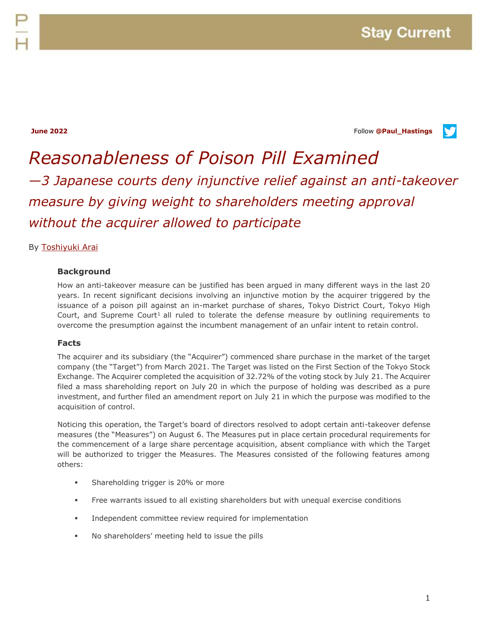**June 2022** Follow **[@Paul\\_Hastings](http://twitter.com/Paul_Hastings)**



# *Reasonableness of Poison Pill Examined —3 Japanese courts deny injunctive relief against an anti-takeover measure by giving weight to shareholders meeting approval without the acquirer allowed to participate*

# By [Toshiyuki Arai](https://www.paulhastings.com/professionals/toshiyukiarai)

### **Background**

How an anti-takeover measure can be justified has been argued in many different ways in the last 20 years. In recent significant decisions involving an injunctive motion by the acquirer triggered by the issuance of a poison pill against an in-market purchase of shares, Tokyo District Court, Tokyo High Court, and Supreme Court<sup>1</sup> all ruled to tolerate the defense measure by outlining requirements to overcome the presumption against the incumbent management of an unfair intent to retain control.

#### **Facts**

The acquirer and its subsidiary (the "Acquirer") commenced share purchase in the market of the target company (the "Target") from March 2021. The Target was listed on the First Section of the Tokyo Stock Exchange. The Acquirer completed the acquisition of 32.72% of the voting stock by July 21. The Acquirer filed a mass shareholding report on July 20 in which the purpose of holding was described as a pure investment, and further filed an amendment report on July 21 in which the purpose was modified to the acquisition of control.

Noticing this operation, the Target's board of directors resolved to adopt certain anti-takeover defense measures (the "Measures") on August 6. The Measures put in place certain procedural requirements for the commencement of a large share percentage acquisition, absent compliance with which the Target will be authorized to trigger the Measures. The Measures consisted of the following features among others:

- Shareholding trigger is 20% or more
- Free warrants issued to all existing shareholders but with unequal exercise conditions
- **Independent committee review required for implementation**
- No shareholders' meeting held to issue the pills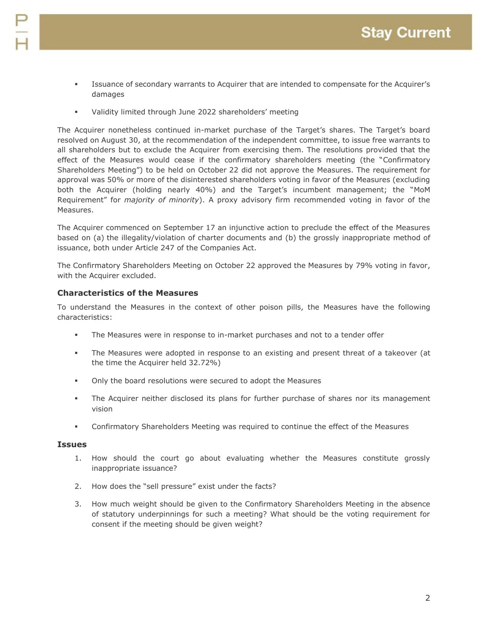- Issuance of secondary warrants to Acquirer that are intended to compensate for the Acquirer's damages
- Validity limited through June 2022 shareholders' meeting

The Acquirer nonetheless continued in-market purchase of the Target's shares. The Target's board resolved on August 30, at the recommendation of the independent committee, to issue free warrants to all shareholders but to exclude the Acquirer from exercising them. The resolutions provided that the effect of the Measures would cease if the confirmatory shareholders meeting (the "Confirmatory Shareholders Meeting") to be held on October 22 did not approve the Measures. The requirement for approval was 50% or more of the disinterested shareholders voting in favor of the Measures (excluding both the Acquirer (holding nearly 40%) and the Target's incumbent management; the "MoM Requirement" for *majority of minority*). A proxy advisory firm recommended voting in favor of the Measures.

The Acquirer commenced on September 17 an injunctive action to preclude the effect of the Measures based on (a) the illegality/violation of charter documents and (b) the grossly inappropriate method of issuance, both under Article 247 of the Companies Act.

The Confirmatory Shareholders Meeting on October 22 approved the Measures by 79% voting in favor, with the Acquirer excluded.

# **Characteristics of the Measures**

To understand the Measures in the context of other poison pills, the Measures have the following characteristics:

- The Measures were in response to in-market purchases and not to a tender offer
- The Measures were adopted in response to an existing and present threat of a takeover (at the time the Acquirer held 32.72%)
- Only the board resolutions were secured to adopt the Measures
- The Acquirer neither disclosed its plans for further purchase of shares nor its management vision
- Confirmatory Shareholders Meeting was required to continue the effect of the Measures

#### **Issues**

- 1. How should the court go about evaluating whether the Measures constitute grossly inappropriate issuance?
- 2. How does the "sell pressure" exist under the facts?
- 3. How much weight should be given to the Confirmatory Shareholders Meeting in the absence of statutory underpinnings for such a meeting? What should be the voting requirement for consent if the meeting should be given weight?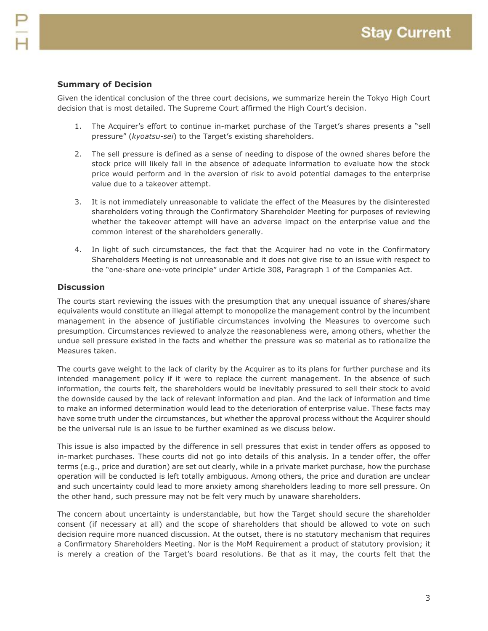# **Summary of Decision**

Given the identical conclusion of the three court decisions, we summarize herein the Tokyo High Court decision that is most detailed. The Supreme Court affirmed the High Court's decision.

- 1. The Acquirer's effort to continue in-market purchase of the Target's shares presents a "sell pressure" (*kyoatsu-sei*) to the Target's existing shareholders.
- 2. The sell pressure is defined as a sense of needing to dispose of the owned shares before the stock price will likely fall in the absence of adequate information to evaluate how the stock price would perform and in the aversion of risk to avoid potential damages to the enterprise value due to a takeover attempt.
- 3. It is not immediately unreasonable to validate the effect of the Measures by the disinterested shareholders voting through the Confirmatory Shareholder Meeting for purposes of reviewing whether the takeover attempt will have an adverse impact on the enterprise value and the common interest of the shareholders generally.
- 4. In light of such circumstances, the fact that the Acquirer had no vote in the Confirmatory Shareholders Meeting is not unreasonable and it does not give rise to an issue with respect to the "one-share one-vote principle" under Article 308, Paragraph 1 of the Companies Act.

# **Discussion**

The courts start reviewing the issues with the presumption that any unequal issuance of shares/share equivalents would constitute an illegal attempt to monopolize the management control by the incumbent management in the absence of justifiable circumstances involving the Measures to overcome such presumption. Circumstances reviewed to analyze the reasonableness were, among others, whether the undue sell pressure existed in the facts and whether the pressure was so material as to rationalize the Measures taken.

The courts gave weight to the lack of clarity by the Acquirer as to its plans for further purchase and its intended management policy if it were to replace the current management. In the absence of such information, the courts felt, the shareholders would be inevitably pressured to sell their stock to avoid the downside caused by the lack of relevant information and plan. And the lack of information and time to make an informed determination would lead to the deterioration of enterprise value. These facts may have some truth under the circumstances, but whether the approval process without the Acquirer should be the universal rule is an issue to be further examined as we discuss below.

This issue is also impacted by the difference in sell pressures that exist in tender offers as opposed to in-market purchases. These courts did not go into details of this analysis. In a tender offer, the offer terms (e.g., price and duration) are set out clearly, while in a private market purchase, how the purchase operation will be conducted is left totally ambiguous. Among others, the price and duration are unclear and such uncertainty could lead to more anxiety among shareholders leading to more sell pressure. On the other hand, such pressure may not be felt very much by unaware shareholders.

The concern about uncertainty is understandable, but how the Target should secure the shareholder consent (if necessary at all) and the scope of shareholders that should be allowed to vote on such decision require more nuanced discussion. At the outset, there is no statutory mechanism that requires a Confirmatory Shareholders Meeting. Nor is the MoM Requirement a product of statutory provision; it is merely a creation of the Target's board resolutions. Be that as it may, the courts felt that the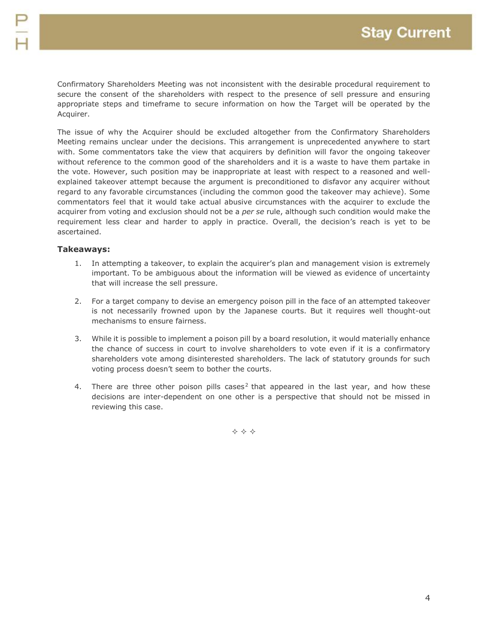Confirmatory Shareholders Meeting was not inconsistent with the desirable procedural requirement to secure the consent of the shareholders with respect to the presence of sell pressure and ensuring appropriate steps and timeframe to secure information on how the Target will be operated by the Acquirer.

The issue of why the Acquirer should be excluded altogether from the Confirmatory Shareholders Meeting remains unclear under the decisions. This arrangement is unprecedented anywhere to start with. Some commentators take the view that acquirers by definition will favor the ongoing takeover without reference to the common good of the shareholders and it is a waste to have them partake in the vote. However, such position may be inappropriate at least with respect to a reasoned and wellexplained takeover attempt because the argument is preconditioned to disfavor any acquirer without regard to any favorable circumstances (including the common good the takeover may achieve). Some commentators feel that it would take actual abusive circumstances with the acquirer to exclude the acquirer from voting and exclusion should not be a *per se* rule, although such condition would make the requirement less clear and harder to apply in practice. Overall, the decision's reach is yet to be ascertained.

### **Takeaways:**

- 1. In attempting a takeover, to explain the acquirer's plan and management vision is extremely important. To be ambiguous about the information will be viewed as evidence of uncertainty that will increase the sell pressure.
- 2. For a target company to devise an emergency poison pill in the face of an attempted takeover is not necessarily frowned upon by the Japanese courts. But it requires well thought-out mechanisms to ensure fairness.
- 3. While it is possible to implement a poison pill by a board resolution, it would materially enhance the chance of success in court to involve shareholders to vote even if it is a confirmatory shareholders vote among disinterested shareholders. The lack of statutory grounds for such voting process doesn't seem to bother the courts.
- 4. There are three other poison pills cases<sup>2</sup> that appeared in the last year, and how these decisions are inter-dependent on one other is a perspective that should not be missed in reviewing this case.

 $\Leftrightarrow$   $\Leftrightarrow$   $\Leftrightarrow$